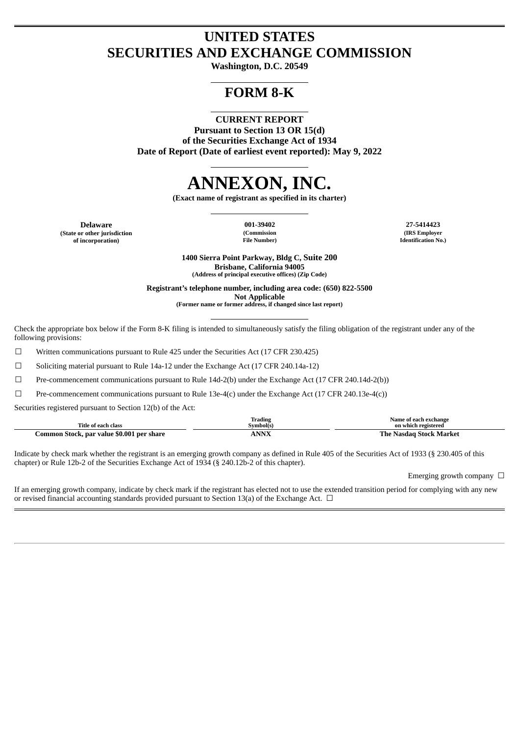# **UNITED STATES SECURITIES AND EXCHANGE COMMISSION**

**Washington, D.C. 20549**

# **FORM 8-K**

### **CURRENT REPORT**

**Pursuant to Section 13 OR 15(d) of the Securities Exchange Act of 1934 Date of Report (Date of earliest event reported): May 9, 2022**

# **ANNEXON, INC.**

**(Exact name of registrant as specified in its charter)**

**Delaware 001-39402 27-5414423 (State or other jurisdiction (Commission (IRS Employer of incorporation) File Number) Identification No.)**

**1400 Sierra Point Parkway, Bldg C, Suite 200 Brisbane, California 94005 (Address of principal executive offices) (Zip Code)**

**Registrant's telephone number, including area code: (650) 822-5500 Not Applicable**

**(Former name or former address, if changed since last report)**

Check the appropriate box below if the Form 8-K filing is intended to simultaneously satisfy the filing obligation of the registrant under any of the following provisions:

☐ Written communications pursuant to Rule 425 under the Securities Act (17 CFR 230.425)

 $\Box$  Soliciting material pursuant to Rule 14a-12 under the Exchange Act (17 CFR 240.14a-12)

 $\Box$  Pre-commencement communications pursuant to Rule 14d-2(b) under the Exchange Act (17 CFR 240.14d-2(b))

 $\Box$  Pre-commencement communications pursuant to Rule 13e-4(c) under the Exchange Act (17 CFR 240.13e-4(c))

Securities registered pursuant to Section 12(b) of the Act:

| Title of each class                            | Trading<br>Symbol(s | Name of each exchange<br>on which registered |
|------------------------------------------------|---------------------|----------------------------------------------|
| Common Stock, par value \$0.001<br>. per share | <b>ANNX</b>         | The .<br>ı Stock Market<br>Nasdag            |

Indicate by check mark whether the registrant is an emerging growth company as defined in Rule 405 of the Securities Act of 1933 (§ 230.405 of this chapter) or Rule 12b-2 of the Securities Exchange Act of 1934 (§ 240.12b-2 of this chapter).

Emerging growth company  $\Box$ 

If an emerging growth company, indicate by check mark if the registrant has elected not to use the extended transition period for complying with any new or revised financial accounting standards provided pursuant to Section 13(a) of the Exchange Act.  $\Box$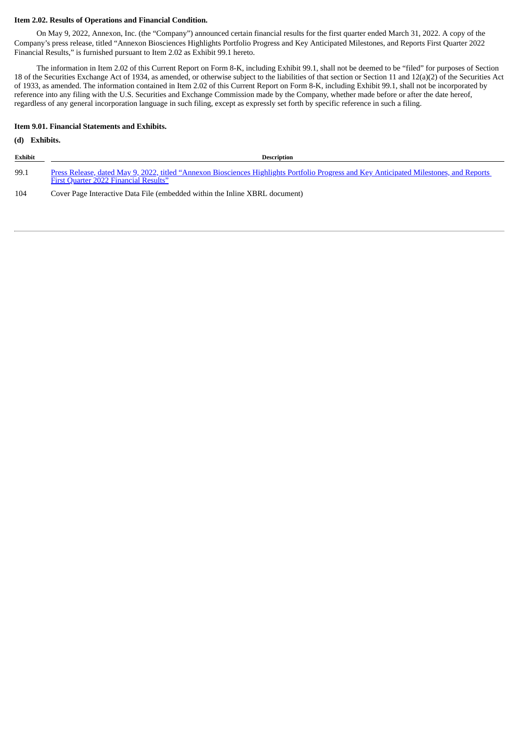### **Item 2.02. Results of Operations and Financial Condition.**

On May 9, 2022, Annexon, Inc. (the "Company") announced certain financial results for the first quarter ended March 31, 2022. A copy of the Company's press release, titled "Annexon Biosciences Highlights Portfolio Progress and Key Anticipated Milestones, and Reports First Quarter 2022 Financial Results," is furnished pursuant to Item 2.02 as Exhibit 99.1 hereto.

The information in Item 2.02 of this Current Report on Form 8-K, including Exhibit 99.1, shall not be deemed to be "filed" for purposes of Section 18 of the Securities Exchange Act of 1934, as amended, or otherwise subject to the liabilities of that section or Section 11 and 12(a)(2) of the Securities Act of 1933, as amended. The information contained in Item 2.02 of this Current Report on Form 8-K, including Exhibit 99.1, shall not be incorporated by reference into any filing with the U.S. Securities and Exchange Commission made by the Company, whether made before or after the date hereof, regardless of any general incorporation language in such filing, except as expressly set forth by specific reference in such a filing.

#### **Item 9.01. Financial Statements and Exhibits.**

**(d) Exhibits.**

| Exhibit | Description                                                                                                                                                                             |
|---------|-----------------------------------------------------------------------------------------------------------------------------------------------------------------------------------------|
| 99.1    | Press Release, dated May 9, 2022, titled "Annexon Biosciences Highlights Portfolio Progress and Key Anticipated Milestones, and Reports<br><b>First Ouarter 2022 Financial Results"</b> |

104 Cover Page Interactive Data File (embedded within the Inline XBRL document)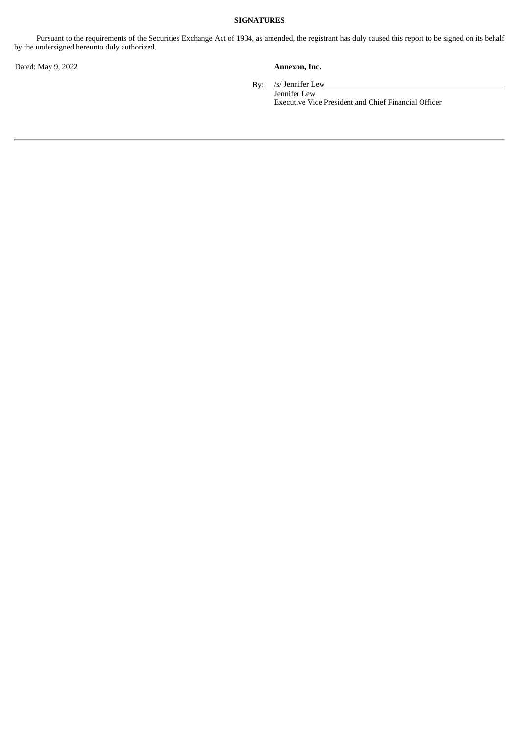#### **SIGNATURES**

Pursuant to the requirements of the Securities Exchange Act of 1934, as amended, the registrant has duly caused this report to be signed on its behalf by the undersigned hereunto duly authorized.

Dated: May 9, 2022 **Annexon, Inc.**

By: /s/ Jennifer Lew

Jennifer Lew Executive Vice President and Chief Financial Officer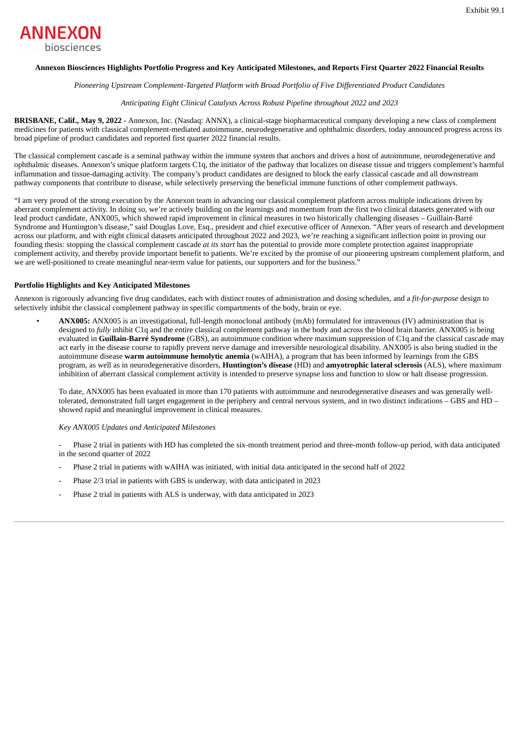<span id="page-3-0"></span>

#### Annexon Biosciences Highlights Portfolio Progress and Key Anticipated Milestones, and Reports First Quarter 2022 Financial Results

#### *Pioneering Upstream Complement-Targeted Platform with Broad Portfolio of Five Differentiated Product Candidates*

#### *Anticipating Eight Clinical Catalysts Across Robust Pipeline throughout 2022 and 2023*

**BRISBANE, Calif., May 9, 2022** - Annexon, Inc. (Nasdaq: ANNX), a clinical-stage biopharmaceutical company developing a new class of complement medicines for patients with classical complement-mediated autoimmune, neurodegenerative and ophthalmic disorders, today announced progress across its broad pipeline of product candidates and reported first quarter 2022 financial results.

The classical complement cascade is a seminal pathway within the immune system that anchors and drives a host of autoimmune, neurodegenerative and ophthalmic diseases. Annexon's unique platform targets C1q, the initiator of the pathway that localizes on disease tissue and triggers complement's harmful inflammation and tissue-damaging activity. The company's product candidates are designed to block the early classical cascade and all downstream pathway components that contribute to disease, while selectively preserving the beneficial immune functions of other complement pathways.

"I am very proud of the strong execution by the Annexon team in advancing our classical complement platform across multiple indications driven by aberrant complement activity. In doing so, we're actively building on the learnings and momentum from the first two clinical datasets generated with our lead product candidate, ANX005, which showed rapid improvement in clinical measures in two historically challenging diseases – Guillain-Barré Syndrome and Huntington's disease," said Douglas Love, Esq., president and chief executive officer of Annexon. "After years of research and development across our platform, and with eight clinical datasets anticipated throughout 2022 and 2023, we're reaching a significant inflection point in proving our founding thesis: stopping the classical complement cascade *at its start* has the potential to provide more complete protection against inappropriate complement activity, and thereby provide important benefit to patients. We're excited by the promise of our pioneering upstream complement platform, and we are well-positioned to create meaningful near-term value for patients, our supporters and for the business."

#### **Portfolio Highlights and Key Anticipated Milestones**

Annexon is rigorously advancing five drug candidates, each with distinct routes of administration and dosing schedules, and a *fit-for-purpose* design to selectively inhibit the classical complement pathway in specific compartments of the body, brain or eye.

• **ANX005:** ANX005 is an investigational, full-length monoclonal antibody (mAb) formulated for intravenous (IV) administration that is designed to *fully* inhibit C1q and the entire classical complement pathway in the body and across the blood brain barrier. ANX005 is being evaluated in **Guillain-Barré Syndrome** (GBS), an autoimmune condition where maximum suppression of C1q and the classical cascade may act early in the disease course to rapidly prevent nerve damage and irreversible neurological disability. ANX005 is also being studied in the autoimmune disease **warm autoimmune hemolytic anemia** (wAIHA), a program that has been informed by learnings from the GBS program, as well as in neurodegenerative disorders, **Huntington's disease** (HD) and **amyotrophic lateral sclerosis** (ALS), where maximum inhibition of aberrant classical complement activity is intended to preserve synapse loss and function to slow or halt disease progression.

To date, ANX005 has been evaluated in more than 170 patients with autoimmune and neurodegenerative diseases and was generally welltolerated, demonstrated full target engagement in the periphery and central nervous system, and in two distinct indications – GBS and HD – showed rapid and meaningful improvement in clinical measures.

#### *Key ANX005 Updates and Anticipated Milestones*

- Phase 2 trial in patients with HD has completed the six-month treatment period and three-month follow-up period, with data anticipated in the second quarter of 2022

- Phase 2 trial in patients with wAIHA was initiated, with initial data anticipated in the second half of 2022
- Phase 2/3 trial in patients with GBS is underway, with data anticipated in 2023
- Phase 2 trial in patients with ALS is underway, with data anticipated in 2023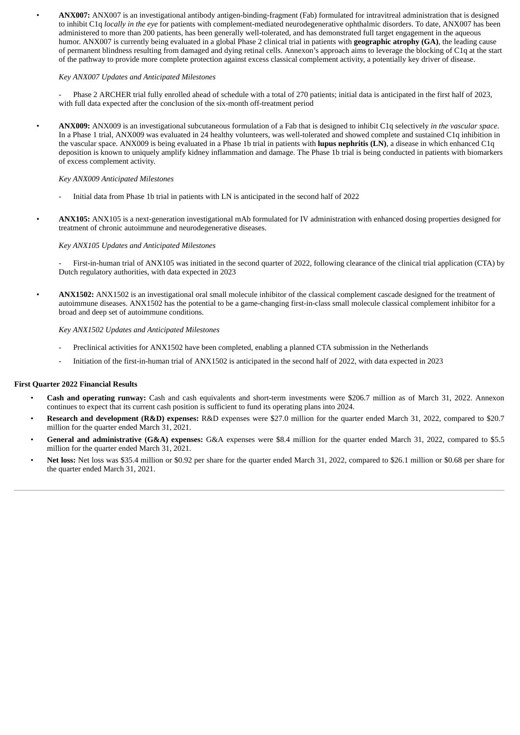• **ANX007:** ANX007 is an investigational antibody antigen-binding-fragment (Fab) formulated for intravitreal administration that is designed to inhibit C1q *locally in the eye* for patients with complement-mediated neurodegenerative ophthalmic disorders. To date, ANX007 has been administered to more than 200 patients, has been generally well-tolerated, and has demonstrated full target engagement in the aqueous humor. ANX007 is currently being evaluated in a global Phase 2 clinical trial in patients with **geographic atrophy (GA)**, the leading cause of permanent blindness resulting from damaged and dying retinal cells. Annexon's approach aims to leverage the blocking of C1q at the start of the pathway to provide more complete protection against excess classical complement activity, a potentially key driver of disease.

#### *Key ANX007 Updates and Anticipated Milestones*

Phase 2 ARCHER trial fully enrolled ahead of schedule with a total of 270 patients; initial data is anticipated in the first half of 2023, with full data expected after the conclusion of the six-month off-treatment period

• **ANX009:** ANX009 is an investigational subcutaneous formulation of a Fab that is designed to inhibit C1q selectively *in the vascular space*. In a Phase 1 trial, ANX009 was evaluated in 24 healthy volunteers, was well-tolerated and showed complete and sustained C1q inhibition in the vascular space. ANX009 is being evaluated in a Phase 1b trial in patients with **lupus nephritis (LN)**, a disease in which enhanced C1q deposition is known to uniquely amplify kidney inflammation and damage. The Phase 1b trial is being conducted in patients with biomarkers of excess complement activity.

#### *Key ANX009 Anticipated Milestones*

- Initial data from Phase 1b trial in patients with LN is anticipated in the second half of 2022
- **ANX105:** ANX105 is a next-generation investigational mAb formulated for IV administration with enhanced dosing properties designed for treatment of chronic autoimmune and neurodegenerative diseases.

#### *Key ANX105 Updates and Anticipated Milestones*

First-in-human trial of ANX105 was initiated in the second quarter of 2022, following clearance of the clinical trial application (CTA) by Dutch regulatory authorities, with data expected in 2023

• **ANX1502:** ANX1502 is an investigational oral small molecule inhibitor of the classical complement cascade designed for the treatment of autoimmune diseases. ANX1502 has the potential to be a game-changing first-in-class small molecule classical complement inhibitor for a broad and deep set of autoimmune conditions.

#### *Key ANX1502 Updates and Anticipated Milestones*

- Preclinical activities for ANX1502 have been completed, enabling a planned CTA submission in the Netherlands
- Initiation of the first-in-human trial of ANX1502 is anticipated in the second half of 2022, with data expected in 2023

#### **First Quarter 2022 Financial Results**

- **Cash and operating runway:** Cash and cash equivalents and short-term investments were \$206.7 million as of March 31, 2022. Annexon continues to expect that its current cash position is sufficient to fund its operating plans into 2024.
- **Research and development (R&D) expenses:** R&D expenses were \$27.0 million for the quarter ended March 31, 2022, compared to \$20.7 million for the quarter ended March 31, 2021.
- **General and administrative (G&A) expenses:** G&A expenses were \$8.4 million for the quarter ended March 31, 2022, compared to \$5.5 million for the quarter ended March 31, 2021.
- **Net loss:** Net loss was \$35.4 million or \$0.92 per share for the quarter ended March 31, 2022, compared to \$26.1 million or \$0.68 per share for the quarter ended March 31, 2021.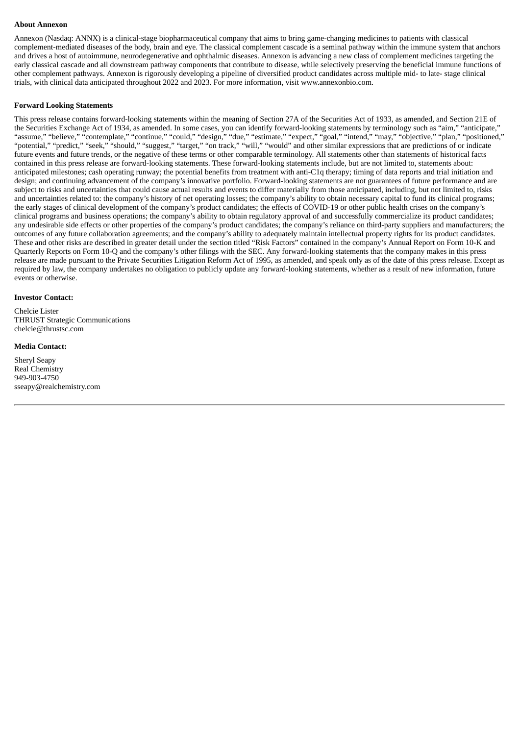#### **About Annexon**

Annexon (Nasdaq: ANNX) is a clinical-stage biopharmaceutical company that aims to bring game-changing medicines to patients with classical complement-mediated diseases of the body, brain and eye. The classical complement cascade is a seminal pathway within the immune system that anchors and drives a host of autoimmune, neurodegenerative and ophthalmic diseases. Annexon is advancing a new class of complement medicines targeting the early classical cascade and all downstream pathway components that contribute to disease, while selectively preserving the beneficial immune functions of other complement pathways. Annexon is rigorously developing a pipeline of diversified product candidates across multiple mid- to late- stage clinical trials, with clinical data anticipated throughout 2022 and 2023. For more information, visit www.annexonbio.com.

#### **Forward Looking Statements**

This press release contains forward-looking statements within the meaning of Section 27A of the Securities Act of 1933, as amended, and Section 21E of the Securities Exchange Act of 1934, as amended. In some cases, you can identify forward-looking statements by terminology such as "aim," "anticipate," "assume," "believe," "contemplate," "continue," "could," "design," "due," "estimate," "expect," "goal," "intend," "may," "objective," "plan," "positioned," "potential," "predict," "seek," "should," "suggest," "target," "on track," "will," "would" and other similar expressions that are predictions of or indicate future events and future trends, or the negative of these terms or other comparable terminology. All statements other than statements of historical facts contained in this press release are forward-looking statements. These forward-looking statements include, but are not limited to, statements about: anticipated milestones; cash operating runway; the potential benefits from treatment with anti-C1q therapy; timing of data reports and trial initiation and design; and continuing advancement of the company's innovative portfolio. Forward-looking statements are not guarantees of future performance and are subject to risks and uncertainties that could cause actual results and events to differ materially from those anticipated, including, but not limited to, risks and uncertainties related to: the company's history of net operating losses; the company's ability to obtain necessary capital to fund its clinical programs; the early stages of clinical development of the company's product candidates; the effects of COVID-19 or other public health crises on the company's clinical programs and business operations; the company's ability to obtain regulatory approval of and successfully commercialize its product candidates; any undesirable side effects or other properties of the company's product candidates; the company's reliance on third-party suppliers and manufacturers; the outcomes of any future collaboration agreements; and the company's ability to adequately maintain intellectual property rights for its product candidates. These and other risks are described in greater detail under the section titled "Risk Factors" contained in the company's Annual Report on Form 10-K and Quarterly Reports on Form 10-Q and the company's other filings with the SEC. Any forward-looking statements that the company makes in this press release are made pursuant to the Private Securities Litigation Reform Act of 1995, as amended, and speak only as of the date of this press release. Except as required by law, the company undertakes no obligation to publicly update any forward-looking statements, whether as a result of new information, future events or otherwise.

#### **Investor Contact:**

Chelcie Lister THRUST Strategic Communications chelcie@thrustsc.com

#### **Media Contact:**

Sheryl Seapy Real Chemistry 949-903-4750 sseapy@realchemistry.com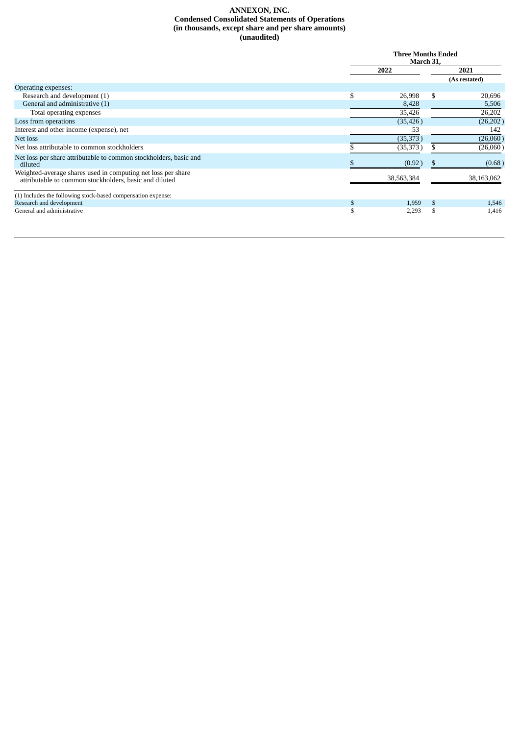#### **ANNEXON, INC. Condensed Consolidated Statements of Operations (in thousands, except share and per share amounts) (unaudited)**

|                                                                                                                        | <b>Three Months Ended</b><br>March 31, |    |               |  |
|------------------------------------------------------------------------------------------------------------------------|----------------------------------------|----|---------------|--|
|                                                                                                                        | 2022                                   |    | 2021          |  |
|                                                                                                                        |                                        |    | (As restated) |  |
| Operating expenses:                                                                                                    |                                        |    |               |  |
| Research and development (1)                                                                                           | \$<br>26,998                           | \$ | 20,696        |  |
| General and administrative (1)                                                                                         | 8,428                                  |    | 5,506         |  |
| Total operating expenses                                                                                               | 35,426                                 |    | 26,202        |  |
| Loss from operations                                                                                                   | (35, 426)                              |    | (26, 202)     |  |
| Interest and other income (expense), net                                                                               | 53                                     |    | 142           |  |
| Net loss                                                                                                               | (35, 373)                              |    | (26,060)      |  |
| Net loss attributable to common stockholders                                                                           | (35, 373)                              |    | (26,060)      |  |
| Net loss per share attributable to common stockholders, basic and<br>diluted                                           | (0.92)                                 |    | (0.68)        |  |
| Weighted-average shares used in computing net loss per share<br>attributable to common stockholders, basic and diluted | 38,563,384                             |    | 38,163,062    |  |
| (1) Includes the following stock-based compensation expense:                                                           |                                        |    |               |  |
| Research and development                                                                                               | \$<br>1,959                            | \$ | 1,546         |  |
| General and administrative                                                                                             | \$<br>2,293                            | \$ | 1,416         |  |